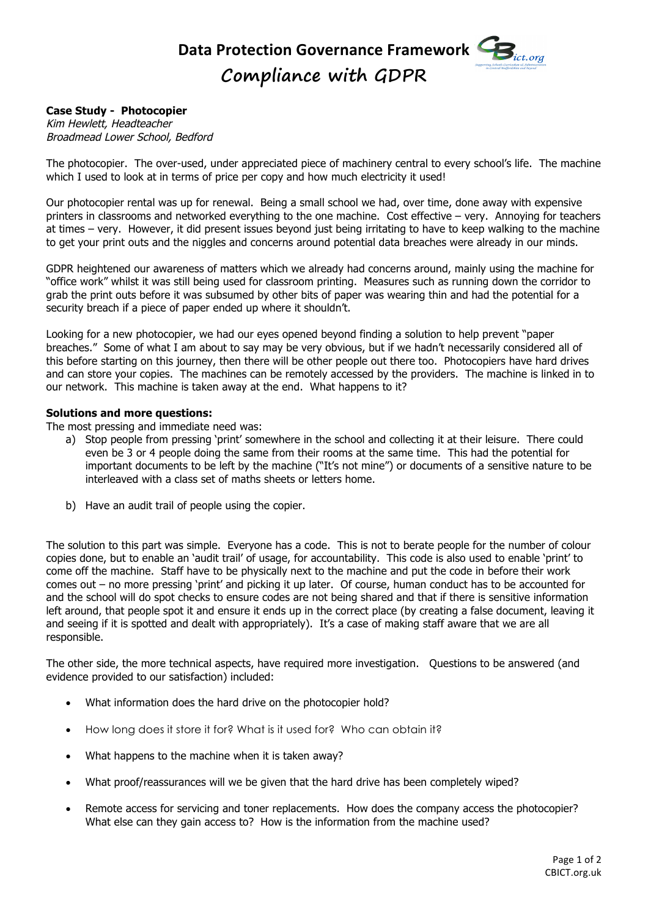## Data Protection Governance Framework **CB Compliance with GDPR**

## **Case Study - Photocopier**

Kim Hewlett, Headteacher Broadmead Lower School, Bedford

The photocopier. The over-used, under appreciated piece of machinery central to every school's life. The machine which I used to look at in terms of price per copy and how much electricity it used!

Our photocopier rental was up for renewal. Being a small school we had, over time, done away with expensive printers in classrooms and networked everything to the one machine. Cost effective – very. Annoying for teachers at times – very. However, it did present issues beyond just being irritating to have to keep walking to the machine to get your print outs and the niggles and concerns around potential data breaches were already in our minds.

GDPR heightened our awareness of matters which we already had concerns around, mainly using the machine for "office work" whilst it was still being used for classroom printing. Measures such as running down the corridor to grab the print outs before it was subsumed by other bits of paper was wearing thin and had the potential for a security breach if a piece of paper ended up where it shouldn't.

Looking for a new photocopier, we had our eyes opened beyond finding a solution to help prevent "paper breaches." Some of what I am about to say may be very obvious, but if we hadn't necessarily considered all of this before starting on this journey, then there will be other people out there too. Photocopiers have hard drives and can store your copies. The machines can be remotely accessed by the providers. The machine is linked in to our network. This machine is taken away at the end. What happens to it?

## **Solutions and more questions:**

The most pressing and immediate need was:

- a) Stop people from pressing 'print' somewhere in the school and collecting it at their leisure. There could even be 3 or 4 people doing the same from their rooms at the same time. This had the potential for important documents to be left by the machine ("It's not mine") or documents of a sensitive nature to be interleaved with a class set of maths sheets or letters home.
- b) Have an audit trail of people using the copier.

The solution to this part was simple. Everyone has a code. This is not to berate people for the number of colour copies done, but to enable an 'audit trail' of usage, for accountability. This code is also used to enable 'print' to come off the machine. Staff have to be physically next to the machine and put the code in before their work comes out – no more pressing 'print' and picking it up later. Of course, human conduct has to be accounted for and the school will do spot checks to ensure codes are not being shared and that if there is sensitive information left around, that people spot it and ensure it ends up in the correct place (by creating a false document, leaving it and seeing if it is spotted and dealt with appropriately). It's a case of making staff aware that we are all responsible.

The other side, the more technical aspects, have required more investigation. Questions to be answered (and evidence provided to our satisfaction) included:

- What information does the hard drive on the photocopier hold?
- How long does it store it for? What is it used for? Who can obtain it?
- What happens to the machine when it is taken away?
- What proof/reassurances will we be given that the hard drive has been completely wiped?
- Remote access for servicing and toner replacements. How does the company access the photocopier? What else can they gain access to? How is the information from the machine used?